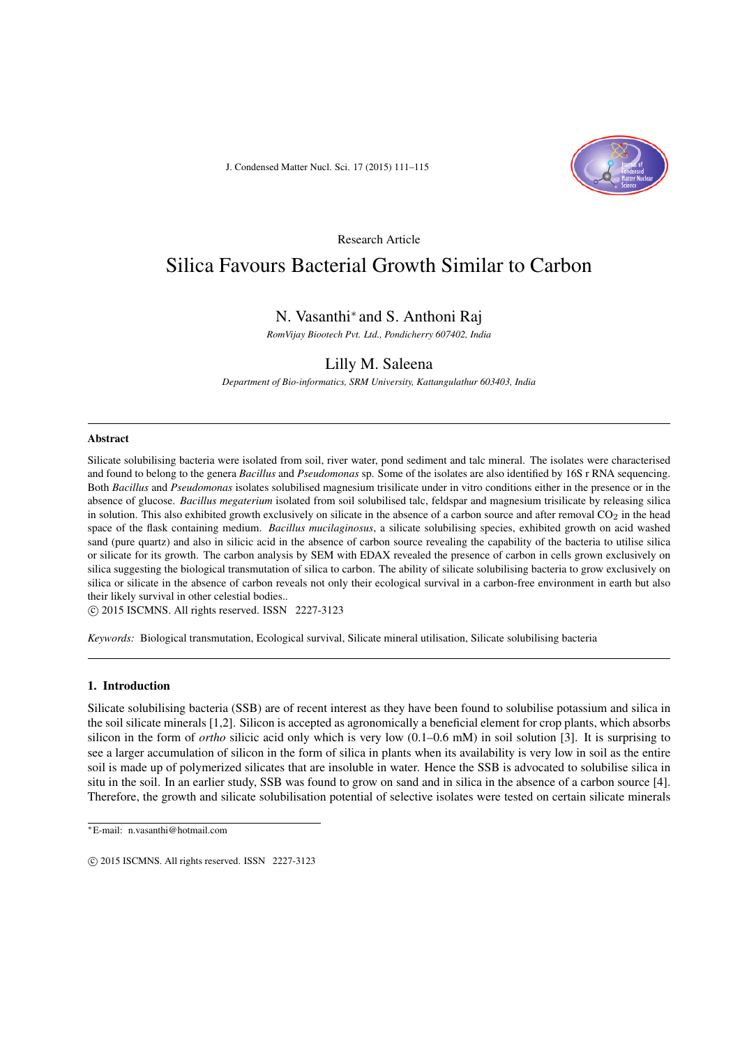J. Condensed Matter Nucl. Sci. 17 (2015) 111–115



Research Article

# Silica Favours Bacterial Growth Similar to Carbon

# N. Vasanthi<sup>∗</sup> and S. Anthoni Raj

*RomVijay Biootech Pvt. Ltd., Pondicherry 607402, India*

# Lilly M. Saleena

*Department of Bio-informatics, SRM University, Kattangulathur 603403, India*

#### Abstract

Silicate solubilising bacteria were isolated from soil, river water, pond sediment and talc mineral. The isolates were characterised and found to belong to the genera *Bacillus* and *Pseudomonas* sp. Some of the isolates are also identified by 16S r RNA sequencing. Both *Bacillus* and *Pseudomonas* isolates solubilised magnesium trisilicate under in vitro conditions either in the presence or in the absence of glucose. *Bacillus megaterium* isolated from soil solubilised talc, feldspar and magnesium trisilicate by releasing silica in solution. This also exhibited growth exclusively on silicate in the absence of a carbon source and after removal  $CO<sub>2</sub>$  in the head space of the flask containing medium. *Bacillus mucilaginosus*, a silicate solubilising species, exhibited growth on acid washed sand (pure quartz) and also in silicic acid in the absence of carbon source revealing the capability of the bacteria to utilise silica or silicate for its growth. The carbon analysis by SEM with EDAX revealed the presence of carbon in cells grown exclusively on silica suggesting the biological transmutation of silica to carbon. The ability of silicate solubilising bacteria to grow exclusively on silica or silicate in the absence of carbon reveals not only their ecological survival in a carbon-free environment in earth but also their likely survival in other celestial bodies..

 $\circ$  2015 ISCMNS. All rights reserved. ISSN 2227-3123

*Keywords:* Biological transmutation, Ecological survival, Silicate mineral utilisation, Silicate solubilising bacteria

## 1. Introduction

Silicate solubilising bacteria (SSB) are of recent interest as they have been found to solubilise potassium and silica in the soil silicate minerals [1,2]. Silicon is accepted as agronomically a beneficial element for crop plants, which absorbs silicon in the form of *ortho* silicic acid only which is very low (0.1–0.6 mM) in soil solution [3]. It is surprising to see a larger accumulation of silicon in the form of silica in plants when its availability is very low in soil as the entire soil is made up of polymerized silicates that are insoluble in water. Hence the SSB is advocated to solubilise silica in situ in the soil. In an earlier study, SSB was found to grow on sand and in silica in the absence of a carbon source [4]. Therefore, the growth and silicate solubilisation potential of selective isolates were tested on certain silicate minerals

<sup>∗</sup>E-mail: n.vasanthi@hotmail.com

 $\odot$  2015 ISCMNS. All rights reserved. ISSN 2227-3123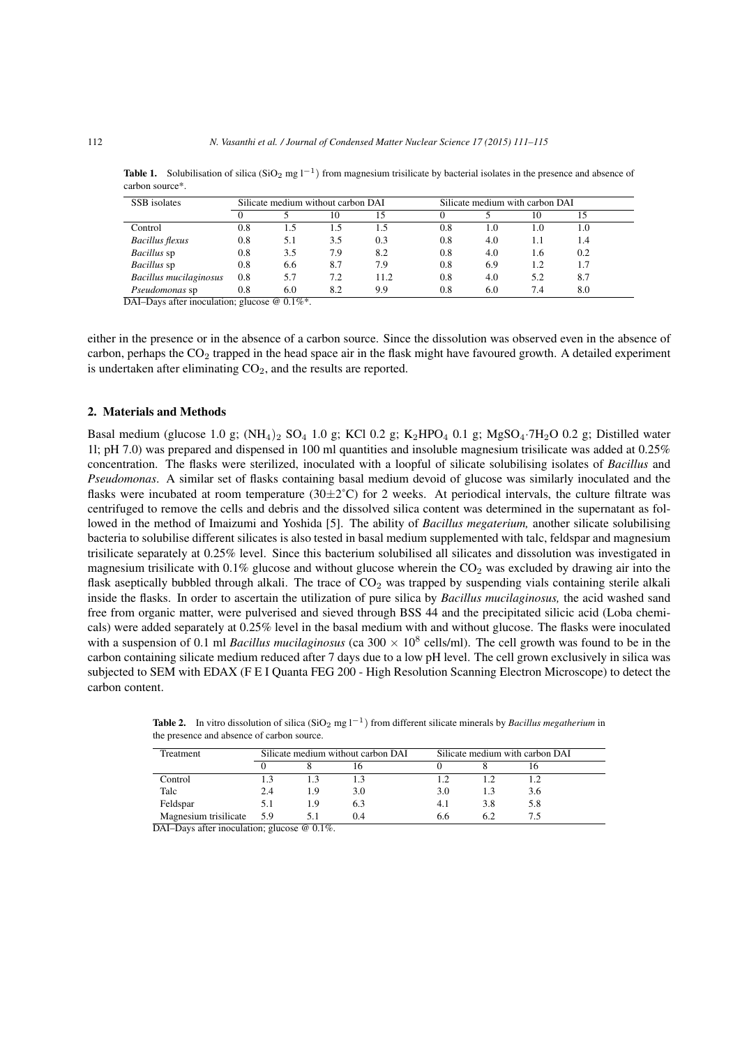**Table 1.** Solubilisation of silica (SiO<sub>2</sub> mg l<sup>-1</sup>) from magnesium trisilicate by bacterial isolates in the presence and absence of carbon source\*.

| SSB isolates           | Silicate medium without carbon DAI |     |     | Silicate medium with carbon DAI |     |     |     |     |  |
|------------------------|------------------------------------|-----|-----|---------------------------------|-----|-----|-----|-----|--|
|                        |                                    |     | 10  |                                 |     |     | 10  |     |  |
| Control                | 0.8                                | 1.5 | 1.5 | 1.5                             | 0.8 | 1.0 | 1.0 | 1.0 |  |
| <b>Bacillus</b> flexus | 0.8                                | 5.1 | 3.5 | 0.3                             | 0.8 | 4.0 | 1.1 | 1.4 |  |
| <i>Bacillus</i> sp     | 0.8                                | 3.5 | 7.9 | 8.2                             | 0.8 | 4.0 | 1.6 | 0.2 |  |
| <i>Bacillus</i> sp     | 0.8                                | 6.6 | 8.7 | 7.9                             | 0.8 | 6.9 | 1.2 | 1.7 |  |
| Bacillus mucilaginosus | 0.8                                | 5.7 | 7.2 | 11.2                            | 0.8 | 4.0 | 5.2 | 8.7 |  |
| Pseudomonas sp         | 0.8                                | 6.0 | 8.2 | 9.9                             | 0.8 | 6.0 | 7.4 | 8.0 |  |

DAI–Days after inoculation; glucose @ 0.1%\*.

either in the presence or in the absence of a carbon source. Since the dissolution was observed even in the absence of carbon, perhaps the  $CO<sub>2</sub>$  trapped in the head space air in the flask might have favoured growth. A detailed experiment is undertaken after eliminating  $CO<sub>2</sub>$ , and the results are reported.

### 2. Materials and Methods

Basal medium (glucose 1.0 g;  $(NH_4)_2$  SO<sub>4</sub> 1.0 g; KCl 0.2 g; K<sub>2</sub>HPO<sub>4</sub> 0.1 g; MgSO<sub>4</sub>·7H<sub>2</sub>O 0.2 g; Distilled water 1l; pH 7.0) was prepared and dispensed in 100 ml quantities and insoluble magnesium trisilicate was added at 0.25% concentration. The flasks were sterilized, inoculated with a loopful of silicate solubilising isolates of *Bacillus* and *Pseudomonas*. A similar set of flasks containing basal medium devoid of glucose was similarly inoculated and the flasks were incubated at room temperature  $(30\pm2^{\circ}C)$  for 2 weeks. At periodical intervals, the culture filtrate was centrifuged to remove the cells and debris and the dissolved silica content was determined in the supernatant as followed in the method of Imaizumi and Yoshida [5]. The ability of *Bacillus megaterium,* another silicate solubilising bacteria to solubilise different silicates is also tested in basal medium supplemented with talc, feldspar and magnesium trisilicate separately at 0.25% level. Since this bacterium solubilised all silicates and dissolution was investigated in magnesium trisilicate with  $0.1\%$  glucose and without glucose wherein the  $CO<sub>2</sub>$  was excluded by drawing air into the flask aseptically bubbled through alkali. The trace of  $CO<sub>2</sub>$  was trapped by suspending vials containing sterile alkali inside the flasks. In order to ascertain the utilization of pure silica by *Bacillus mucilaginosus,* the acid washed sand free from organic matter, were pulverised and sieved through BSS 44 and the precipitated silicic acid (Loba chemicals) were added separately at 0.25% level in the basal medium with and without glucose. The flasks were inoculated with a suspension of 0.1 ml *Bacillus mucilaginosus* (ca 300  $\times$  10<sup>8</sup> cells/ml). The cell growth was found to be in the carbon containing silicate medium reduced after 7 days due to a low pH level. The cell grown exclusively in silica was subjected to SEM with EDAX (F E I Quanta FEG 200 - High Resolution Scanning Electron Microscope) to detect the carbon content.

Table 2. In vitro dissolution of silica (SiO<sub>2</sub> mg l<sup>−1</sup>) from different silicate minerals by *Bacillus megatherium* in the presence and absence of carbon source.

| Treatment             | Silicate medium without carbon DAI |    |     | Silicate medium with carbon DAI |     |     |  |  |
|-----------------------|------------------------------------|----|-----|---------------------------------|-----|-----|--|--|
|                       |                                    |    |     |                                 |     |     |  |  |
| Control               |                                    |    |     |                                 |     |     |  |  |
| Talc                  | 2.4                                | 19 | 3.0 | 3.0                             |     | 3.6 |  |  |
| Feldspar              | 5.1                                | 19 | 6.3 | 4.1                             | 3.8 | 5.8 |  |  |
| Magnesium trisilicate | 5.9                                |    | 0.4 | 6.6                             |     |     |  |  |

DAI–Days after inoculation; glucose @ 0.1%.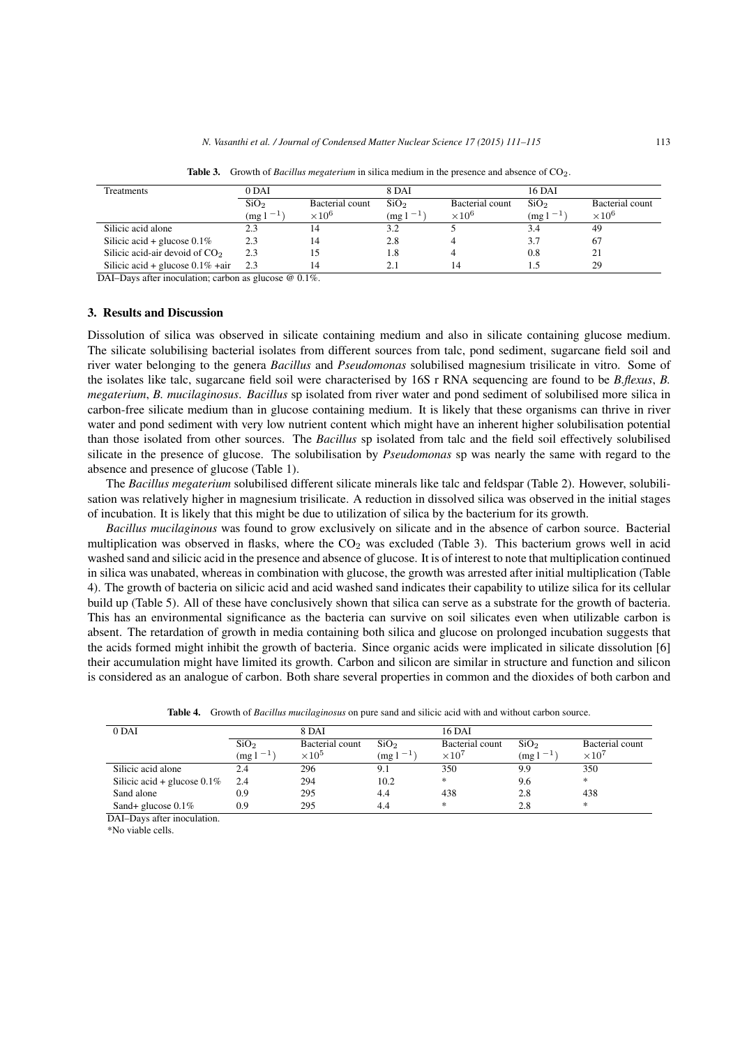| Treatments                          | 0 DAI            |                          | 8 DAI            |                          | <b>16 DAI</b>    |                 |  |
|-------------------------------------|------------------|--------------------------|------------------|--------------------------|------------------|-----------------|--|
|                                     | SiO <sub>2</sub> | Bacterial count          | SiO <sub>2</sub> | Bacterial count          | SiO <sub>2</sub> | Bacterial count |  |
|                                     | $(mg 1^{-1})$    | $\times$ 10 <sup>6</sup> | $(mg1^{-1})$     | $\times$ 10 <sup>6</sup> | $(mg1^{-1})$     | $\times 10^6$   |  |
| Silicic acid alone                  |                  |                          | 3.2              |                          | 3.4              | 49              |  |
| Silicic acid + glucose $0.1\%$      | 2.3              |                          | 2.8              |                          | 3.7              | 67              |  |
| Silicic acid-air devoid of $CO2$    | 2.3              |                          | 1.8              |                          | 0.8              | 21              |  |
| Silicic acid + glucose $0.1\%$ +air | 2.3              |                          |                  | 14                       |                  | 29              |  |

Table 3. Growth of *Bacillus megaterium* in silica medium in the presence and absence of CO<sub>2</sub>.

DAI–Days after inoculation; carbon as glucose @ 0.1%.

#### 3. Results and Discussion

Dissolution of silica was observed in silicate containing medium and also in silicate containing glucose medium. The silicate solubilising bacterial isolates from different sources from talc, pond sediment, sugarcane field soil and river water belonging to the genera *Bacillus* and *Pseudomonas* solubilised magnesium trisilicate in vitro. Some of the isolates like talc, sugarcane field soil were characterised by 16S r RNA sequencing are found to be *B.flexus*, *B. megaterium*, *B. mucilaginosus*. *Bacillus* sp isolated from river water and pond sediment of solubilised more silica in carbon-free silicate medium than in glucose containing medium. It is likely that these organisms can thrive in river water and pond sediment with very low nutrient content which might have an inherent higher solubilisation potential than those isolated from other sources. The *Bacillus* sp isolated from talc and the field soil effectively solubilised silicate in the presence of glucose. The solubilisation by *Pseudomonas* sp was nearly the same with regard to the absence and presence of glucose (Table 1).

The *Bacillus megaterium* solubilised different silicate minerals like talc and feldspar (Table 2). However, solubilisation was relatively higher in magnesium trisilicate. A reduction in dissolved silica was observed in the initial stages of incubation. It is likely that this might be due to utilization of silica by the bacterium for its growth.

*Bacillus mucilaginous* was found to grow exclusively on silicate and in the absence of carbon source. Bacterial multiplication was observed in flasks, where the  $CO<sub>2</sub>$  was excluded (Table 3). This bacterium grows well in acid washed sand and silicic acid in the presence and absence of glucose. It is of interest to note that multiplication continued in silica was unabated, whereas in combination with glucose, the growth was arrested after initial multiplication (Table 4). The growth of bacteria on silicic acid and acid washed sand indicates their capability to utilize silica for its cellular build up (Table 5). All of these have conclusively shown that silica can serve as a substrate for the growth of bacteria. This has an environmental significance as the bacteria can survive on soil silicates even when utilizable carbon is absent. The retardation of growth in media containing both silica and glucose on prolonged incubation suggests that the acids formed might inhibit the growth of bacteria. Since organic acids were implicated in silicate dissolution [6] their accumulation might have limited its growth. Carbon and silicon are similar in structure and function and silicon is considered as an analogue of carbon. Both share several properties in common and the dioxides of both carbon and

| $0$ DAI                        | 8 DAI            |                          | 16 DAI           |                 |                  |                 |  |
|--------------------------------|------------------|--------------------------|------------------|-----------------|------------------|-----------------|--|
|                                | SiO <sub>2</sub> | Bacterial count          | SiO <sub>2</sub> | Bacterial count | SiO <sub>2</sub> | Bacterial count |  |
|                                | $(mg1^{-1})$     | $\times$ 10 <sup>5</sup> | $(mg1^{-1})$     | $\times 10^7$   | $(mg1^{-1})$     | $\times 10^7$   |  |
| Silicic acid alone             | 2.4              | 296                      |                  | 350             | 9.9              | 350             |  |
| Silicic acid + glucose $0.1\%$ | 2.4              | 294                      | 10.2             | $*$             | 9.6              | $*$             |  |
| Sand alone                     | 0.9              | 295                      | 4.4              | 438             | 2.8              | 438             |  |
| Sand+ glucose $0.1\%$          | 0.9              | 295                      | 4.4              | *               | 2.8              | $*$             |  |

Table 4. Growth of *Bacillus mucilaginosus* on pure sand and silicic acid with and without carbon source.

DAI–Days after inoculation.

\*No viable cells.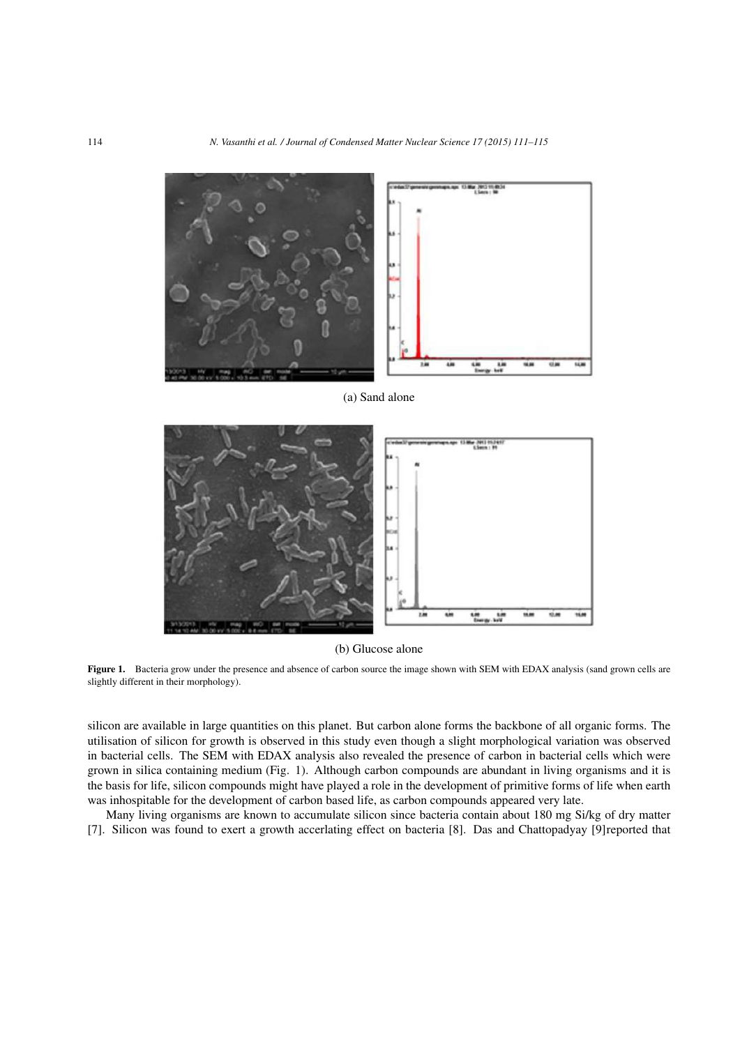

(a) Sand alone



(b) Glucose alone

Figure 1. Bacteria grow under the presence and absence of carbon source the image shown with SEM with EDAX analysis (sand grown cells are slightly different in their morphology).

silicon are available in large quantities on this planet. But carbon alone forms the backbone of all organic forms. The utilisation of silicon for growth is observed in this study even though a slight morphological variation was observed in bacterial cells. The SEM with EDAX analysis also revealed the presence of carbon in bacterial cells which were grown in silica containing medium (Fig. 1). Although carbon compounds are abundant in living organisms and it is the basis for life, silicon compounds might have played a role in the development of primitive forms of life when earth was inhospitable for the development of carbon based life, as carbon compounds appeared very late.

Many living organisms are known to accumulate silicon since bacteria contain about 180 mg Si/kg of dry matter [7]. Silicon was found to exert a growth accerlating effect on bacteria [8]. Das and Chattopadyay [9]reported that